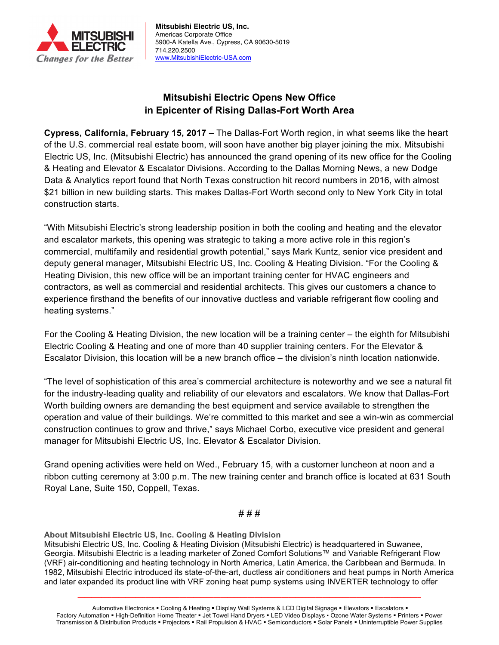

**Mitsubishi Electric US, Inc.** Americas Corporate Office 5900-A Katella Ave., Cypress, CA 90630-5019 714.220.2500 www.MitsubishiElectric-USA.com

## **Mitsubishi Electric Opens New Office in Epicenter of Rising Dallas-Fort Worth Area**

**Cypress, California, February 15, 2017** – The Dallas-Fort Worth region, in what seems like the heart of the U.S. commercial real estate boom, will soon have another big player joining the mix. Mitsubishi Electric US, Inc. (Mitsubishi Electric) has announced the grand opening of its new office for the Cooling & Heating and Elevator & Escalator Divisions. According to the Dallas Morning News, a new Dodge Data & Analytics report found that North Texas construction hit record numbers in 2016, with almost \$21 billion in new building starts. This makes Dallas-Fort Worth second only to New York City in total construction starts.

"With Mitsubishi Electric's strong leadership position in both the cooling and heating and the elevator and escalator markets, this opening was strategic to taking a more active role in this region's commercial, multifamily and residential growth potential," says Mark Kuntz, senior vice president and deputy general manager, Mitsubishi Electric US, Inc. Cooling & Heating Division. "For the Cooling & Heating Division, this new office will be an important training center for HVAC engineers and contractors, as well as commercial and residential architects. This gives our customers a chance to experience firsthand the benefits of our innovative ductless and variable refrigerant flow cooling and heating systems."

For the Cooling & Heating Division, the new location will be a training center – the eighth for Mitsubishi Electric Cooling & Heating and one of more than 40 supplier training centers. For the Elevator & Escalator Division, this location will be a new branch office – the division's ninth location nationwide.

"The level of sophistication of this area's commercial architecture is noteworthy and we see a natural fit for the industry-leading quality and reliability of our elevators and escalators. We know that Dallas-Fort Worth building owners are demanding the best equipment and service available to strengthen the operation and value of their buildings. We're committed to this market and see a win-win as commercial construction continues to grow and thrive," says Michael Corbo, executive vice president and general manager for Mitsubishi Electric US, Inc. Elevator & Escalator Division.

Grand opening activities were held on Wed., February 15, with a customer luncheon at noon and a ribbon cutting ceremony at 3:00 p.m. The new training center and branch office is located at 631 South Royal Lane, Suite 150, Coppell, Texas.

## # # #

**About Mitsubishi Electric US, Inc. Cooling & Heating Division**

Mitsubishi Electric US, Inc. Cooling & Heating Division (Mitsubishi Electric) is headquartered in Suwanee, Georgia. Mitsubishi Electric is a leading marketer of Zoned Comfort Solutions™ and Variable Refrigerant Flow (VRF) air-conditioning and heating technology in North America, Latin America, the Caribbean and Bermuda. In 1982, Mitsubishi Electric introduced its state-of-the-art, ductless air conditioners and heat pumps in North America and later expanded its product line with VRF zoning heat pump systems using INVERTER technology to offer

 $\mathcal{L}_\mathcal{L} = \{ \mathcal{L}_\mathcal{L} = \{ \mathcal{L}_\mathcal{L} = \{ \mathcal{L}_\mathcal{L} = \{ \mathcal{L}_\mathcal{L} = \{ \mathcal{L}_\mathcal{L} = \{ \mathcal{L}_\mathcal{L} = \{ \mathcal{L}_\mathcal{L} = \{ \mathcal{L}_\mathcal{L} = \{ \mathcal{L}_\mathcal{L} = \{ \mathcal{L}_\mathcal{L} = \{ \mathcal{L}_\mathcal{L} = \{ \mathcal{L}_\mathcal{L} = \{ \mathcal{L}_\mathcal{L} = \{ \mathcal{L}_\mathcal{$